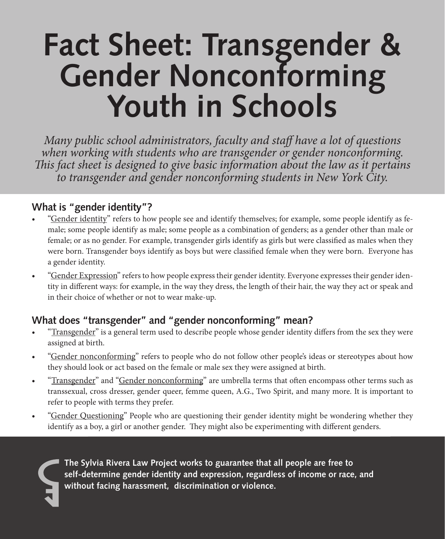# **Fact Sheet: Transgender & Gender Nonconforming Youth in Schools**

*Many public school administrators, faculty and staff have a lot of questions when working with students who are transgender or gender nonconforming. This fact sheet is designed to give basic information about the law as it pertains to transgender and gender nonconforming students in New York City.* 

## **What is "gender identity"?**

- "Gender identity" refers to how people see and identify themselves; for example, some people identify as female; some people identify as male; some people as a combination of genders; as a gender other than male or female; or as no gender. For example, transgender girls identify as girls but were classified as males when they were born. Transgender boys identify as boys but were classified female when they were born. Everyone has a gender identity.
- • "Gender Expression" refers to how people express their gender identity. Everyone expresses their gender identity in different ways: for example, in the way they dress, the length of their hair, the way they act or speak and in their choice of whether or not to wear make-up.

# **What does "transgender" and "gender nonconforming" mean?**

- "Transgender" is a general term used to describe people whose gender identity differs from the sex they were assigned at birth.
- "Gender nonconforming" refers to people who do not follow other people's ideas or stereotypes about how they should look or act based on the female or male sex they were assigned at birth.
- "Transgender" and "Gender nonconforming" are umbrella terms that often encompass other terms such as transsexual, cross dresser, gender queer, femme queen, A.G., Two Spirit, and many more. It is important to refer to people with terms they prefer.
- • "Gender Questioning" People who are questioning their gender identity might be wondering whether they identify as a boy, a girl or another gender. They might also be experimenting with different genders.

**The Sylvia Rivera Law Project works to guarantee that all people are free to self-determine gender identity and expression, regardless of income or race, and without facing harassment, discrimination or violence.**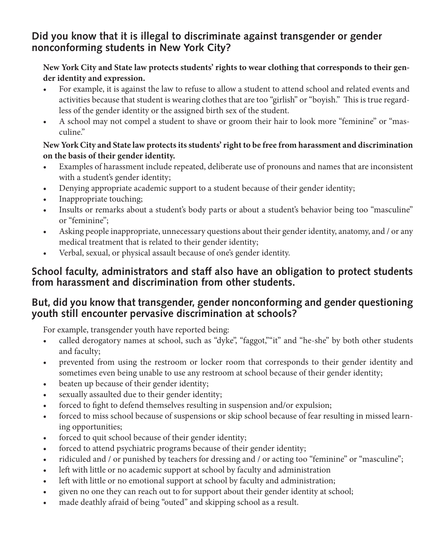## **Did you know that it is illegal to discriminate against transgender or gender nonconforming students in New York City?**

#### **New York City and State law protects students' rights to wear clothing that corresponds to their gender identity and expression.**

- For example, it is against the law to refuse to allow a student to attend school and related events and activities because that student is wearing clothes that are too "girlish" or"boyish." This is true regardless of the gender identity or the assigned birth sex of the student.
- • A school may not compel a student to shave or groom their hair to look more "feminine" or "masculine."

#### **New York City and State law protects its students' right to be free from harassment and discrimination on the basis of their gender identity.**

- Examples of harassment include repeated, deliberate use of pronouns and names that are inconsistent with a student's gender identity;
- Denying appropriate academic support to a student because of their gender identity;
- • Inappropriate touching;
- Insults or remarks about a student's body parts or about a student's behavior being too "masculine" or "feminine";
- Asking people inappropriate, unnecessary questions about their gender identity, anatomy, and / or any medical treatment that is related to their gender identity;
- Verbal, sexual, or physical assault because of one's gender identity.

## **School faculty, administrators and staff also have an obligation to protect students from harassment and discrimination from other students.**

## **But, did you know that transgender, gender nonconforming and gender questioning youth still encounter pervasive discrimination at schools?**

For example, transgender youth have reported being:

- • called derogatory names at school, such as "dyke", "faggot,""it" and "he-she" by both other students and faculty;
- • prevented from using the restroom or locker room that corresponds to their gender identity and sometimes even being unable to use any restroom at school because of their gender identity;
- beaten up because of their gender identity;
- sexually assaulted due to their gender identity;
- forced to fight to defend themselves resulting in suspension and/or expulsion;
- forced to miss school because of suspensions or skip school because of fear resulting in missed learning opportunities;
- forced to quit school because of their gender identity;
- forced to attend psychiatric programs because of their gender identity;
- ridiculed and / or punished by teachers for dressing and / or acting too "feminine" or "masculine";
- left with little or no academic support at school by faculty and administration
- left with little or no emotional support at school by faculty and administration;
- given no one they can reach out to for support about their gender identity at school;
- made deathly afraid of being "outed" and skipping school as a result.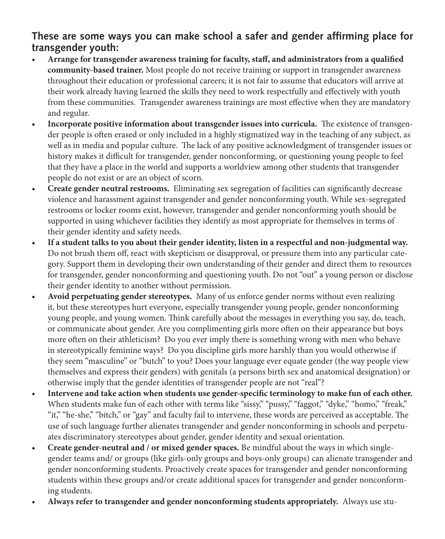## **These are some ways you can make school a safer and gender affirming place for transgender youth:**

- **• Arrange for transgender awareness training for faculty, staff, and administrators from a qualified community-based trainer.** Most people do not receive training or support in transgender awareness throughout their education or professional careers; it is not fair to assume that educators will arrive at their work already having learned the skills they need to work respectfully and effectively with youth from these communities. Transgender awareness trainings are most effective when they are mandatory and regular.
- **• Incorporate positive information about transgender issues into curricula.** The existence of transgender people is often erased or only included in a highly stigmatized way in the teaching of any subject, as well as in media and popular culture. The lack of any positive acknowledgment of transgender issues or history makes it difficult for transgender, gender nonconforming, or questioning young people to feel that they have a place in the world and supports a worldview among other students that transgender people do not exist or are an object of scorn.
- **• Create gender neutral restrooms.** Eliminating sex segregation of facilities can significantly decrease violence and harassment against transgender and gender nonconforming youth. While sex-segregated restrooms or locker rooms exist, however, transgender and gender nonconforming youth should be supported in using whichever facilities they identify as most appropriate for themselves in terms of their gender identity and safety needs.
- **• If a student talks to you about their gender identity, listen in a respectful and non-judgmental way.** Do not brush them off, react with skepticism or disapproval, or pressure them into any particular category. Support them in developing their own understanding of their gender and direct them to resources for transgender, gender nonconforming and questioning youth. Do not "out" a young person or disclose their gender identity to another without permission.
- **• Avoid perpetuating gender stereotypes.**Many of us enforce gender norms without even realizing it, but these stereotypes hurt everyone, especially transgender young people, gender nonconforming young people, and young women. Think carefully about the messages in everything you say, do, teach, or communicate about gender. Are you complimenting girls more often on their appearance but boys more often on their athleticism? Do you ever imply there is something wrong with men who behave in stereotypically feminine ways? Do you discipline girls more harshly than you would otherwise if they seem "masculine" or "butch" to you? Does your language ever equate gender (the way people view themselves and express their genders) with genitals (a persons birth sex and anatomical designation) or otherwise imply that the gender identities of transgender people are not "real"?
- **• Intervene and take action when students use gender-specific terminology to make fun of each other.**  When students make fun of each other with terms like "sissy," "pussy," "faggot," "dyke," "homo," "freak," "it," "he-she," "bitch," or "gay" and faculty fail to intervene, these words are perceived as acceptable. The use of such language further alienates transgender and gender nonconforming in schools and perpetuates discriminatory stereotypes about gender, gender identity and sexual orientation.
- **• Create gender-neutral and / or mixed gender spaces.** Be mindful about the ways in which singlegender teams and/ or groups (like girls-only groups and boys-only groups) can alienate transgender and gender nonconforming students. Proactively create spaces for transgender and gender nonconforming students within these groups and/or create additional spaces for transgender and gender nonconforming students.
- **• Always refer to transgender and gender nonconforming students appropriately.** Always use stu-